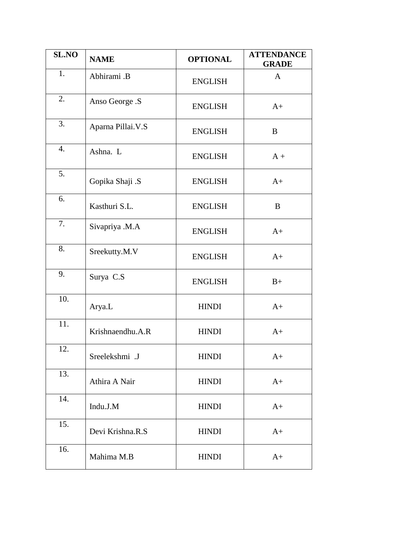| <b>SL.NO</b> | <b>NAME</b>       | <b>OPTIONAL</b> | <b>ATTENDANCE</b><br><b>GRADE</b> |
|--------------|-------------------|-----------------|-----------------------------------|
| 1.           | Abhirami .B       | <b>ENGLISH</b>  | $\mathbf{A}$                      |
| 2.           | Anso George .S    | <b>ENGLISH</b>  | $A+$                              |
| 3.           | Aparna Pillai.V.S | <b>ENGLISH</b>  | B                                 |
| 4.           | Ashna. L          | <b>ENGLISH</b>  | $A +$                             |
| 5.           | Gopika Shaji .S   | <b>ENGLISH</b>  | $A+$                              |
| 6.           | Kasthuri S.L.     | <b>ENGLISH</b>  | B                                 |
| 7.           | Sivapriya .M.A    | <b>ENGLISH</b>  | $A+$                              |
| 8.           | Sreekutty.M.V     | <b>ENGLISH</b>  | $A+$                              |
| 9.           | Surya C.S         | <b>ENGLISH</b>  | $B+$                              |
| 10.          | Arya.L            | <b>HINDI</b>    | $A+$                              |
| 11.          | Krishnaendhu.A.R  | <b>HINDI</b>    | $A+$                              |
| 12.          | Sreelekshmi .J    | <b>HINDI</b>    | $A+$                              |
| 13.          | Athira A Nair     | <b>HINDI</b>    | $A+$                              |
| 14.          | Indu.J.M          | <b>HINDI</b>    | $A+$                              |
| 15.          | Devi Krishna.R.S  | <b>HINDI</b>    | $A+$                              |
| 16.          | Mahima M.B        | <b>HINDI</b>    | $A+$                              |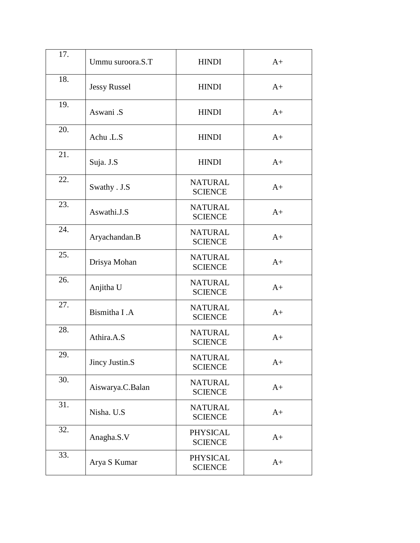| 17. | Ummu suroora.S.T    | <b>HINDI</b>                      | $A+$ |
|-----|---------------------|-----------------------------------|------|
| 18. | <b>Jessy Russel</b> | <b>HINDI</b>                      | $A+$ |
| 19. | Aswani .S           | <b>HINDI</b>                      | $A+$ |
| 20. | Achu .L.S           | <b>HINDI</b>                      | $A+$ |
| 21. | Suja. J.S           | <b>HINDI</b>                      | $A+$ |
| 22. | Swathy . J.S        | <b>NATURAL</b><br><b>SCIENCE</b>  | $A+$ |
| 23. | Aswathi.J.S         | <b>NATURAL</b><br><b>SCIENCE</b>  | $A+$ |
| 24. | Aryachandan.B       | <b>NATURAL</b><br><b>SCIENCE</b>  | $A+$ |
| 25. | Drisya Mohan        | <b>NATURAL</b><br><b>SCIENCE</b>  | $A+$ |
| 26. | Anjitha U           | <b>NATURAL</b><br><b>SCIENCE</b>  | $A+$ |
| 27. | Bismitha I.A        | <b>NATURAL</b><br><b>SCIENCE</b>  | $A+$ |
| 28. | Athira.A.S          | <b>NATURAL</b><br><b>SCIENCE</b>  | $A+$ |
| 29. | Jincy Justin.S      | <b>NATURAL</b><br><b>SCIENCE</b>  | $A+$ |
| 30. | Aiswarya.C.Balan    | <b>NATURAL</b><br><b>SCIENCE</b>  | $A+$ |
| 31. | Nisha. U.S          | <b>NATURAL</b><br><b>SCIENCE</b>  | $A+$ |
| 32. | Anagha.S.V          | <b>PHYSICAL</b><br><b>SCIENCE</b> | $A+$ |
| 33. | Arya S Kumar        | <b>PHYSICAL</b><br><b>SCIENCE</b> | $A+$ |